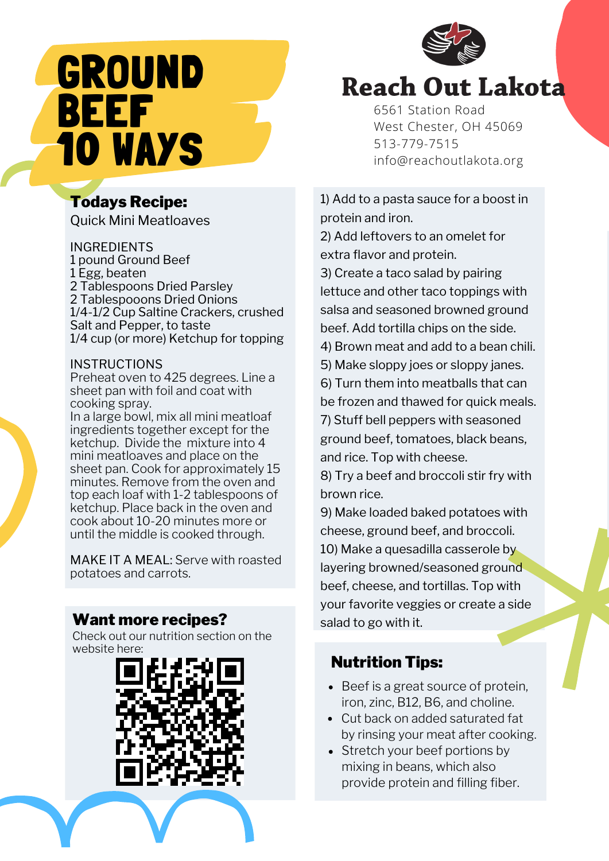# GROUND BEEF 10 WAYS

## Todays Recipe:

Quick Mini Meatloaves

#### INGREDIENTS

1 pound Ground Beef 1 Egg, beaten 2 Tablespoons Dried Parsley 2 Tablespooons Dried Onions 1/4-1/2 Cup Saltine Crackers, crushed Salt and Pepper, to taste 1/4 cup (or more) Ketchup for topping

### **INSTRUCTIONS**

Preheat oven to 425 degrees. Line a sheet pan with foil and coat with cooking spray.

In a large bowl, mix all mini meatloaf ingredients together except for the ketchup. Divide the mixture into 4 mini meatloaves and place on the sheet pan. Cook for approximately 15 minutes. Remove from the oven and top each loaf with 1-2 tablespoons of ketchup. Place back in the oven and cook about 10-20 minutes more or until the middle is cooked through.

MAKE IT A MEAL: Serve with roasted potatoes and carrots.

### **Want more recipes?** salad to go with it.

Check out our nutrition section on the website here:





# **Reach Out Lakota**

[6561](https://goo.gl/maps/6fnK9gT3n8dANtpG8) [Station](https://goo.gl/maps/6fnK9gT3n8dANtpG8) Road West [Chester,](https://goo.gl/maps/6fnK9gT3n8dANtpG8) OH 45069 [513-779-7515](tel:513-779-7515) [info@reachoutlakota.org](mailto:info@reachoutlakota.org)

1) Add to a pasta sauce for a boost in protein and iron.

2) Add leftovers to an omelet for extra flavor and protein.

3) Create a taco salad by pairing lettuce and other taco toppings with salsa and seasoned browned ground beef. Add tortilla chips on the side.

4) Brown meat and add to a bean chili.

- 5) Make sloppy joes or sloppy janes.
- 6) Turn them into meatballs that can be frozen and thawed for quick meals.

7) Stuff bell peppers with seasoned ground beef, tomatoes, black beans, and rice. Top with cheese.

8) Try a beef and broccoli stir fry with brown rice.

9) Make loaded baked potatoes with cheese, ground beef, and broccoli. 10) Make a quesadilla casserole by layering browned/seasoned ground beef, cheese, and tortillas. Top with your favorite veggies or create a side

## Nutrition Tips:

- Beef is a great source of protein, iron, zinc, B12, B6, and choline.
- Cut back on added saturated fat by rinsing your meat after cooking.
- Stretch your beef portions by mixing in beans, which also provide protein and filling fiber.